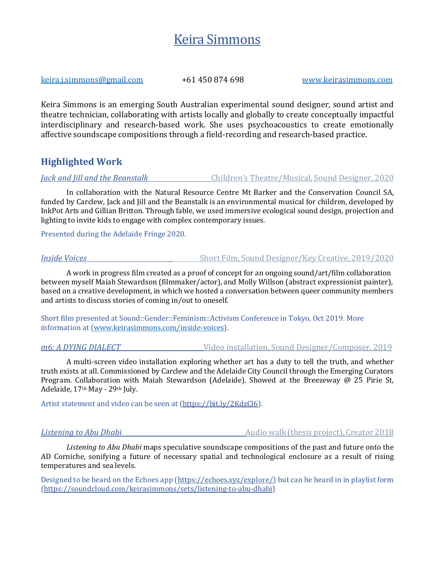# Keira Simmons

keira.j.simmons@gmail.com +61 450 874 698 www.keirasimmons.com

Keira Simmons is an emerging South Australian experimental sound designer, sound artist and theatre technician, collaborating with artists locally and globally to create conceptually impactful interdisciplinary and research-based work. She uses psychoacoustics to create emotionally affective soundscape compositions through a field-recording and research-based practice.

## **Highlighted Work**

*Jack and Jill and the Beanstalk Children's Theatre/Musical, Sound Designer, 2020* 

In collaboration with the Natural Resource Centre Mt Barker and the Conservation Council SA, funded by Carclew, Jack and Jill and the Beanstalk is an environmental musical for children, developed by InkPot Arts and Gillian Britton. Through fable, we used immersive ecological sound design, projection and lighting to invite kids to engage with complex contemporary issues.

Presented during the Adelaide Fringe 2020.

### *Inside Voices* Short Film, Sound Designer/Key Creative, 2019/2020

A work in progress film created as a proof of concept for an ongoing sound/art/film collaboration between myself Maiah Stewardson (filmmaker/actor), and Molly Willson (abstract expressionist painter), based on a creative development, in which we hosted a conversation between queer community members and artists to discuss stories of coming in/out to oneself.

Short film presented at Sound::Gender::Feminism::Activism Conference in Tokyo, Oct 2019. More information at (www.keirasimmons.com/inside-voices).

*m6: A DYING DIALECT* Video installation, Sound Designer/Composer, 2019

A multi-screen video installation exploring whether art has a duty to tell the truth, and whether truth exists at all. Commissioned by Carclew and the Adelaide City Council through the Emerging Curators Program. Collaboration with Maiah Stewardson (Adelaide). Showed at the Breezeway @ 25 Pirie St, Adelaide, 17<sup>th</sup> May - 29<sup>th</sup> July.

Artist statement and video can be seen at (https://bit.ly/2KdzCl6).

*Listening to Abu Dhabi* **Audio** Audio walk (thesis project), Creator 2018

*Listening to Abu Dhabi* maps speculative soundscape compositions of the past and future onto the AD Corniche, sonifying a future of necessary spatial and technological enclosure as a result of rising temperatures and sea levels.

Designed to be heard on the Echoes app (https://echoes.xyz/explore/) but can he heard in in playlist form (https://soundcloud.com/keirasimmons/sets/listening-to-abu-dhabi)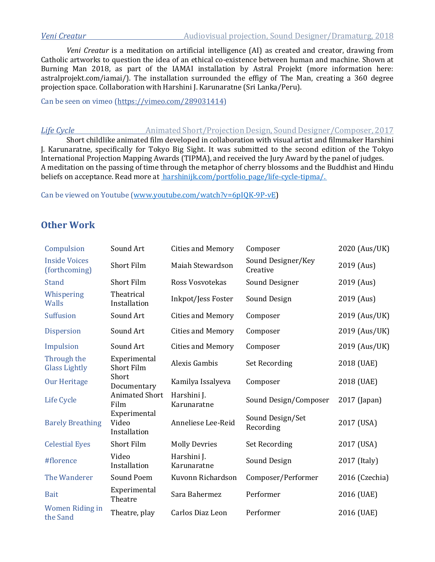*Veni Creatur* is a meditation on artificial intelligence (AI) as created and creator, drawing from Catholic artworks to question the idea of an ethical co-existence between human and machine. Shown at Burning Man 2018, as part of the IAMAI installation by Astral Projekt (more information here: astralprojekt.com/iamai/). The installation surrounded the effigy of The Man, creating a 360 degree projection space. Collaboration with Harshini J. Karunaratne (Sri Lanka/Peru).

Can be seen on vimeo (https://vimeo.com/289031414)

*Life Cycle Animated Short/Projection Design, Sound Designer/Composer, 2017* Short childlike animated film developed in collaboration with visual artist and filmmaker Harshini J. Karunaratne, specifically for Tokyo Big Sight. It was submitted to the second edition of the Tokyo International Projection Mapping Awards (TIPMA), and received the Jury Award by the panel of judges. A meditation on the passing of time through the metaphor of cherry blossoms and the Buddhist and Hindu beliefs on acceptance. Read more at harshinijk.com/portfolio\_page/life-cycle-tipma/.

Can be viewed on Youtube (www.youtube.com/watch?v=6pIQK-9P-vE)

## **Other Work**

| Compulsion                            | Sound Art                             | <b>Cities and Memory</b>   | Composer                       | 2020 (Aus/UK)  |
|---------------------------------------|---------------------------------------|----------------------------|--------------------------------|----------------|
| <b>Inside Voices</b><br>(forthcoming) | <b>Short Film</b>                     | Maiah Stewardson           | Sound Designer/Key<br>Creative | 2019 (Aus)     |
| <b>Stand</b>                          | <b>Short Film</b>                     | Ross Vosvotekas            | Sound Designer                 | 2019 (Aus)     |
| Whispering<br>Walls                   | Theatrical<br>Installation            | Inkpot/Jess Foster         | Sound Design                   | 2019 (Aus)     |
| <b>Suffusion</b>                      | Sound Art                             | <b>Cities and Memory</b>   | Composer                       | 2019 (Aus/UK)  |
| <b>Dispersion</b>                     | Sound Art                             | <b>Cities and Memory</b>   | Composer                       | 2019 (Aus/UK)  |
| Impulsion                             | Sound Art                             | <b>Cities and Memory</b>   | Composer                       | 2019 (Aus/UK)  |
| Through the<br><b>Glass Lightly</b>   | Experimental<br><b>Short Film</b>     | <b>Alexis Gambis</b>       | <b>Set Recording</b>           | 2018 (UAE)     |
| <b>Our Heritage</b>                   | Short<br>Documentary                  | Kamilya Issalyeva          | Composer                       | 2018 (UAE)     |
| Life Cycle                            | <b>Animated Short</b><br>Film         | Harshini J.<br>Karunaratne | Sound Design/Composer          | 2017 (Japan)   |
| <b>Barely Breathing</b>               | Experimental<br>Video<br>Installation | Anneliese Lee-Reid         | Sound Design/Set<br>Recording  | 2017 (USA)     |
| <b>Celestial Eyes</b>                 | Short Film                            | <b>Molly Devries</b>       | <b>Set Recording</b>           | 2017 (USA)     |
| #florence                             | Video<br>Installation                 | Harshini J.<br>Karunaratne | Sound Design                   | 2017 (Italy)   |
| The Wanderer                          | Sound Poem                            | Kuvonn Richardson          | Composer/Performer             | 2016 (Czechia) |
| <b>Bait</b>                           | Experimental<br>Theatre               | Sara Bahermez              | Performer                      | 2016 (UAE)     |
| <b>Women Riding in</b><br>the Sand    | Theatre, play                         | Carlos Diaz Leon           | Performer                      | 2016 (UAE)     |